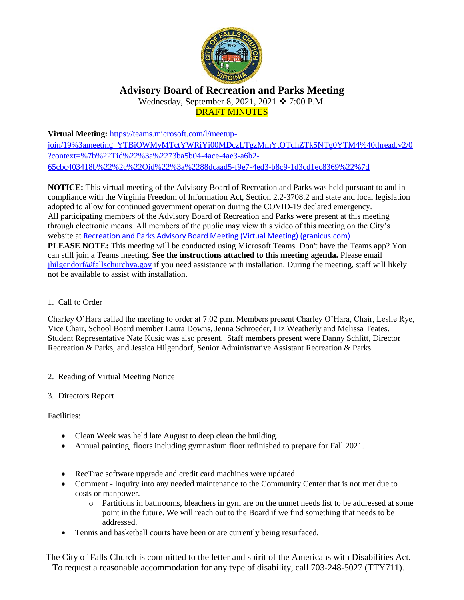

# **Advisory Board of Recreation and Parks Meeting** Wednesday, September 8, 2021, 2021 ❖ 7:00 P.M. DRAFT MINUTES

**Virtual Meeting:** [https://teams.microsoft.com/l/meetup](https://teams.microsoft.com/l/meetup-join/19%3ameeting_YTBiOWMyMTctYWRiYi00MDczLTgzMmYtOTdhZTk5NTg0YTM4%40thread.v2/0?context=%7b%22Tid%22%3a%2273ba5b04-4ace-4ae3-a6b2-65cbc403418b%22%2c%22Oid%22%3a%2288dcaad5-f9e7-4ed3-b8c9-1d3cd1ec8369%22%7d)[join/19%3ameeting\\_YTBiOWMyMTctYWRiYi00MDczLTgzMmYtOTdhZTk5NTg0YTM4%40thread.v2/0](https://teams.microsoft.com/l/meetup-join/19%3ameeting_YTBiOWMyMTctYWRiYi00MDczLTgzMmYtOTdhZTk5NTg0YTM4%40thread.v2/0?context=%7b%22Tid%22%3a%2273ba5b04-4ace-4ae3-a6b2-65cbc403418b%22%2c%22Oid%22%3a%2288dcaad5-f9e7-4ed3-b8c9-1d3cd1ec8369%22%7d) [?context=%7b%22Tid%22%3a%2273ba5b04-4ace-4ae3-a6b2-](https://teams.microsoft.com/l/meetup-join/19%3ameeting_YTBiOWMyMTctYWRiYi00MDczLTgzMmYtOTdhZTk5NTg0YTM4%40thread.v2/0?context=%7b%22Tid%22%3a%2273ba5b04-4ace-4ae3-a6b2-65cbc403418b%22%2c%22Oid%22%3a%2288dcaad5-f9e7-4ed3-b8c9-1d3cd1ec8369%22%7d) [65cbc403418b%22%2c%22Oid%22%3a%2288dcaad5-f9e7-4ed3-b8c9-1d3cd1ec8369%22%7d](https://teams.microsoft.com/l/meetup-join/19%3ameeting_YTBiOWMyMTctYWRiYi00MDczLTgzMmYtOTdhZTk5NTg0YTM4%40thread.v2/0?context=%7b%22Tid%22%3a%2273ba5b04-4ace-4ae3-a6b2-65cbc403418b%22%2c%22Oid%22%3a%2288dcaad5-f9e7-4ed3-b8c9-1d3cd1ec8369%22%7d)

**NOTICE:** This virtual meeting of the Advisory Board of Recreation and Parks was held pursuant to and in compliance with the Virginia Freedom of Information Act, Section 2.2-3708.2 and state and local legislation adopted to allow for continued government operation during the COVID-19 declared emergency. All participating members of the Advisory Board of Recreation and Parks were present at this meeting through electronic means. All members of the public may view this video of this meeting on the City's website at [Recreation and Parks Advisory Board Meeting \(Virtual Meeting\) \(granicus.com\)](https://fallschurch-va.granicus.com/player/clip/1493?view_id=2&redirect=true) **PLEASE NOTE:** This meeting will be conducted using Microsoft Teams. Don't have the Teams app? You can still join a Teams meeting. **See the instructions attached to this meeting agenda.** Please email [jhilgendorf@fallschurchva.gov](mailto:jhilgendorf@fallschurchva.gov) if you need assistance with installation. During the meeting, staff will likely not be available to assist with installation.

# 1. Call to Order

Charley O'Hara called the meeting to order at 7:02 p.m. Members present Charley O'Hara, Chair, Leslie Rye, Vice Chair, School Board member Laura Downs, Jenna Schroeder, Liz Weatherly and Melissa Teates. Student Representative Nate Kusic was also present. Staff members present were Danny Schlitt, Director Recreation & Parks, and Jessica Hilgendorf, Senior Administrative Assistant Recreation & Parks.

- 2. Reading of Virtual Meeting Notice
- 3. Directors Report

# Facilities:

- Clean Week was held late August to deep clean the building.
- Annual painting, floors including gymnasium floor refinished to prepare for Fall 2021.
- RecTrac software upgrade and credit card machines were updated
- Comment Inquiry into any needed maintenance to the Community Center that is not met due to costs or manpower.
	- o Partitions in bathrooms, bleachers in gym are on the unmet needs list to be addressed at some point in the future. We will reach out to the Board if we find something that needs to be addressed.
- Tennis and basketball courts have been or are currently being resurfaced.

The City of Falls Church is committed to the letter and spirit of the Americans with Disabilities Act. To request a reasonable accommodation for any type of disability, call 703-248-5027 (TTY711).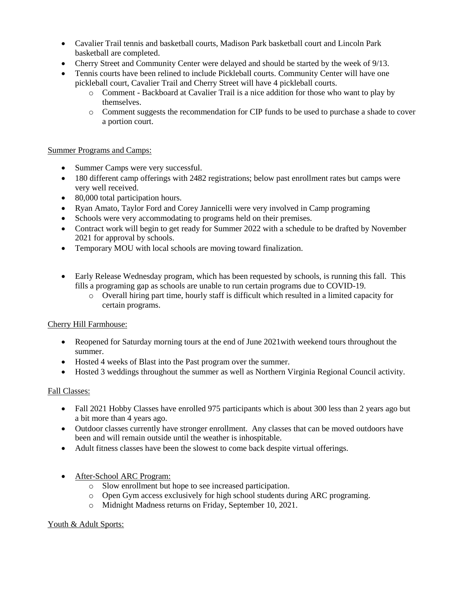- Cavalier Trail tennis and basketball courts, Madison Park basketball court and Lincoln Park basketball are completed.
- Cherry Street and Community Center were delayed and should be started by the week of 9/13.
- Tennis courts have been relined to include Pickleball courts. Community Center will have one pickleball court, Cavalier Trail and Cherry Street will have 4 pickleball courts.
	- o Comment Backboard at Cavalier Trail is a nice addition for those who want to play by themselves.
	- o Comment suggests the recommendation for CIP funds to be used to purchase a shade to cover a portion court.

### Summer Programs and Camps:

- Summer Camps were very successful.
- 180 different camp offerings with 2482 registrations; below past enrollment rates but camps were very well received.
- 80,000 total participation hours.
- Ryan Amato, Taylor Ford and Corey Jannicelli were very involved in Camp programing
- Schools were very accommodating to programs held on their premises.
- Contract work will begin to get ready for Summer 2022 with a schedule to be drafted by November 2021 for approval by schools.
- Temporary MOU with local schools are moving toward finalization.
- Early Release Wednesday program, which has been requested by schools, is running this fall. This fills a programing gap as schools are unable to run certain programs due to COVID-19.
	- o Overall hiring part time, hourly staff is difficult which resulted in a limited capacity for certain programs.

# Cherry Hill Farmhouse:

- Reopened for Saturday morning tours at the end of June 2021 with weekend tours throughout the summer.
- Hosted 4 weeks of Blast into the Past program over the summer.
- Hosted 3 weddings throughout the summer as well as Northern Virginia Regional Council activity.

#### Fall Classes:

- Fall 2021 Hobby Classes have enrolled 975 participants which is about 300 less than 2 years ago but a bit more than 4 years ago.
- Outdoor classes currently have stronger enrollment. Any classes that can be moved outdoors have been and will remain outside until the weather is inhospitable.
- Adult fitness classes have been the slowest to come back despite virtual offerings.
- After-School ARC Program:
	- o Slow enrollment but hope to see increased participation.
	- o Open Gym access exclusively for high school students during ARC programing.
	- o Midnight Madness returns on Friday, September 10, 2021.

#### Youth & Adult Sports: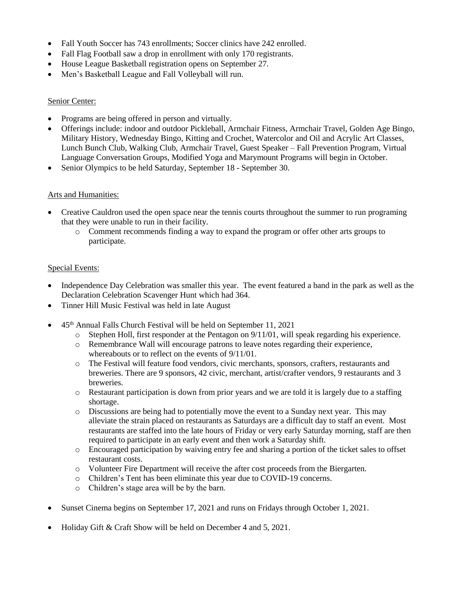- Fall Youth Soccer has 743 enrollments; Soccer clinics have 242 enrolled.
- Fall Flag Football saw a drop in enrollment with only 170 registrants.
- House League Basketball registration opens on September 27.
- Men's Basketball League and Fall Volleyball will run.

### Senior Center:

- Programs are being offered in person and virtually.
- Offerings include: indoor and outdoor Pickleball, Armchair Fitness, Armchair Travel, Golden Age Bingo, Military History, Wednesday Bingo, Kitting and Crochet, Watercolor and Oil and Acrylic Art Classes, Lunch Bunch Club, Walking Club, Armchair Travel, Guest Speaker – Fall Prevention Program, Virtual Language Conversation Groups, Modified Yoga and Marymount Programs will begin in October.
- Senior Olympics to be held Saturday, September 18 September 30.

# Arts and Humanities:

- Creative Cauldron used the open space near the tennis courts throughout the summer to run programing that they were unable to run in their facility.
	- o Comment recommends finding a way to expand the program or offer other arts groups to participate.

### Special Events:

- Independence Day Celebration was smaller this year. The event featured a band in the park as well as the Declaration Celebration Scavenger Hunt which had 364.
- Tinner Hill Music Festival was held in late August
- 45<sup>th</sup> Annual Falls Church Festival will be held on September 11, 2021
	- $\circ$  Stephen Holl, first responder at the Pentagon on 9/11/01, will speak regarding his experience.
	- o Remembrance Wall will encourage patrons to leave notes regarding their experience, whereabouts or to reflect on the events of 9/11/01.
	- o The Festival will feature food vendors, civic merchants, sponsors, crafters, restaurants and breweries. There are 9 sponsors, 42 civic, merchant, artist/crafter vendors, 9 restaurants and 3 breweries.
	- o Restaurant participation is down from prior years and we are told it is largely due to a staffing shortage.
	- o Discussions are being had to potentially move the event to a Sunday next year. This may alleviate the strain placed on restaurants as Saturdays are a difficult day to staff an event. Most restaurants are staffed into the late hours of Friday or very early Saturday morning, staff are then required to participate in an early event and then work a Saturday shift.
	- o Encouraged participation by waiving entry fee and sharing a portion of the ticket sales to offset restaurant costs.
	- o Volunteer Fire Department will receive the after cost proceeds from the Biergarten.
	- o Children's Tent has been eliminate this year due to COVID-19 concerns.
	- o Children's stage area will be by the barn.
- Sunset Cinema begins on September 17, 2021 and runs on Fridays through October 1, 2021.
- Holiday Gift & Craft Show will be held on December 4 and 5, 2021.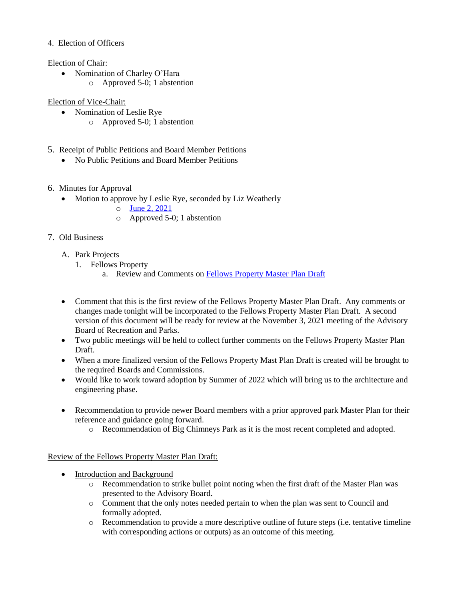## 4. Election of Officers

#### Election of Chair:

 Nomination of Charley O'Hara o Approved 5-0; 1 abstention

## Election of Vice-Chair:

- Nomination of Leslie Rye
	- o Approved 5-0; 1 abstention
- 5. Receipt of Public Petitions and Board Member Petitions
	- No Public Petitions and Board Member Petitions
- 6. Minutes for Approval
	- Motion to approve by Leslie Rye, seconded by Liz Weatherly
		- o [June 2, 2021](https://www.fallschurchva.gov/AgendaCenter/ViewFile/Minutes/_06022021-1842)
		- o Approved 5-0; 1 abstention

# 7. Old Business

- A. Park Projects
	- 1. Fellows Property
		- a. Review and Comments on [Fellows Property Master Plan Draft](https://www.fallschurchva.gov/DocumentCenter/View/15071/Fellows-Property-Master-Plan-Draft)
- Comment that this is the first review of the Fellows Property Master Plan Draft. Any comments or changes made tonight will be incorporated to the Fellows Property Master Plan Draft. A second version of this document will be ready for review at the November 3, 2021 meeting of the Advisory Board of Recreation and Parks.
- Two public meetings will be held to collect further comments on the Fellows Property Master Plan Draft.
- When a more finalized version of the Fellows Property Mast Plan Draft is created will be brought to the required Boards and Commissions.
- Would like to work toward adoption by Summer of 2022 which will bring us to the architecture and engineering phase.
- Recommendation to provide newer Board members with a prior approved park Master Plan for their reference and guidance going forward.
	- o Recommendation of Big Chimneys Park as it is the most recent completed and adopted.

# Review of the Fellows Property Master Plan Draft:

- Introduction and Background
	- o Recommendation to strike bullet point noting when the first draft of the Master Plan was presented to the Advisory Board.
	- o Comment that the only notes needed pertain to when the plan was sent to Council and formally adopted.
	- o Recommendation to provide a more descriptive outline of future steps (i.e. tentative timeline with corresponding actions or outputs) as an outcome of this meeting.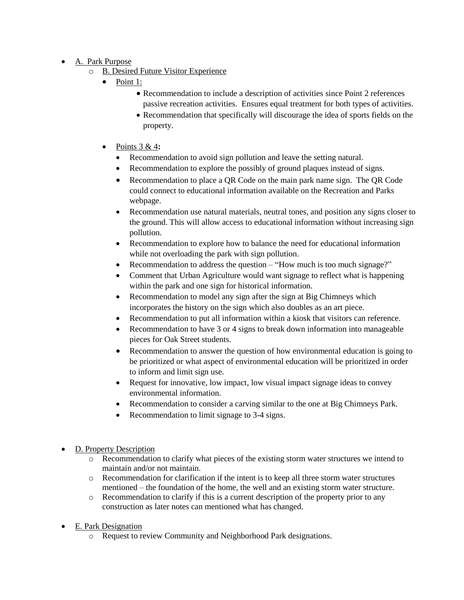- A. Park Purpose
	- o B. Desired Future Visitor Experience
		- Point 1:
			- Recommendation to include a description of activities since Point 2 references passive recreation activities. Ensures equal treatment for both types of activities.
			- Recommendation that specifically will discourage the idea of sports fields on the property.
		- Points 3 & 4**:**
			- Recommendation to avoid sign pollution and leave the setting natural.
			- Recommendation to explore the possibly of ground plaques instead of signs.
			- Recommendation to place a QR Code on the main park name sign. The QR Code could connect to educational information available on the Recreation and Parks webpage.
			- Recommendation use natural materials, neutral tones, and position any signs closer to the ground. This will allow access to educational information without increasing sign pollution.
			- Recommendation to explore how to balance the need for educational information while not overloading the park with sign pollution.
			- Recommendation to address the question "How much is too much signage?"
			- Comment that Urban Agriculture would want signage to reflect what is happening within the park and one sign for historical information.
			- Recommendation to model any sign after the sign at Big Chimneys which incorporates the history on the sign which also doubles as an art piece.
			- Recommendation to put all information within a kiosk that visitors can reference.
			- Recommendation to have 3 or 4 signs to break down information into manageable pieces for Oak Street students.
			- Recommendation to answer the question of how environmental education is going to be prioritized or what aspect of environmental education will be prioritized in order to inform and limit sign use.
			- Request for innovative, low impact, low visual impact signage ideas to convey environmental information.
			- Recommendation to consider a carving similar to the one at Big Chimneys Park.
			- Recommendation to limit signage to 3-4 signs.
- D. Property Description
	- o Recommendation to clarify what pieces of the existing storm water structures we intend to maintain and/or not maintain.
	- o Recommendation for clarification if the intent is to keep all three storm water structures mentioned – the foundation of the home, the well and an existing storm water structure.
	- $\circ$  Recommendation to clarify if this is a current description of the property prior to any construction as later notes can mentioned what has changed.
- E. Park Designation
	- o Request to review Community and Neighborhood Park designations.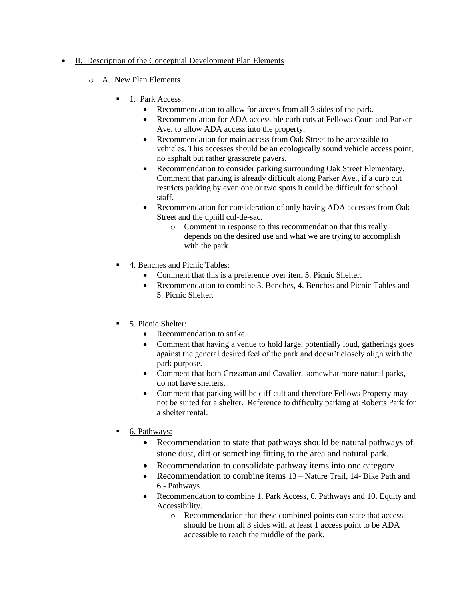# • II. Description of the Conceptual Development Plan Elements

- o A. New Plan Elements
	- $\blacksquare$  1. Park Access:
		- Recommendation to allow for access from all 3 sides of the park.
		- Recommendation for ADA accessible curb cuts at Fellows Court and Parker Ave. to allow ADA access into the property.
		- Recommendation for main access from Oak Street to be accessible to vehicles. This accesses should be an ecologically sound vehicle access point, no asphalt but rather grasscrete pavers.
		- Recommendation to consider parking surrounding Oak Street Elementary. Comment that parking is already difficult along Parker Ave., if a curb cut restricts parking by even one or two spots it could be difficult for school staff.
		- Recommendation for consideration of only having ADA accesses from Oak Street and the uphill cul-de-sac.
			- o Comment in response to this recommendation that this really depends on the desired use and what we are trying to accomplish with the park.
	- 4. Benches and Picnic Tables:
		- Comment that this is a preference over item 5. Picnic Shelter.
		- Recommendation to combine 3. Benches, 4. Benches and Picnic Tables and 5. Picnic Shelter.
	- 5. Picnic Shelter:
		- Recommendation to strike.
		- Comment that having a venue to hold large, potentially loud, gatherings goes against the general desired feel of the park and doesn't closely align with the park purpose.
		- Comment that both Crossman and Cavalier, somewhat more natural parks, do not have shelters.
		- Comment that parking will be difficult and therefore Fellows Property may not be suited for a shelter. Reference to difficulty parking at Roberts Park for a shelter rental.
	- 6. Pathways:
		- Recommendation to state that pathways should be natural pathways of stone dust, dirt or something fitting to the area and natural park.
		- Recommendation to consolidate pathway items into one category
		- Recommendation to combine items 13 Nature Trail, 14- Bike Path and 6 - Pathways
		- Recommendation to combine 1. Park Access, 6. Pathways and 10. Equity and Accessibility.
			- o Recommendation that these combined points can state that access should be from all 3 sides with at least 1 access point to be ADA accessible to reach the middle of the park.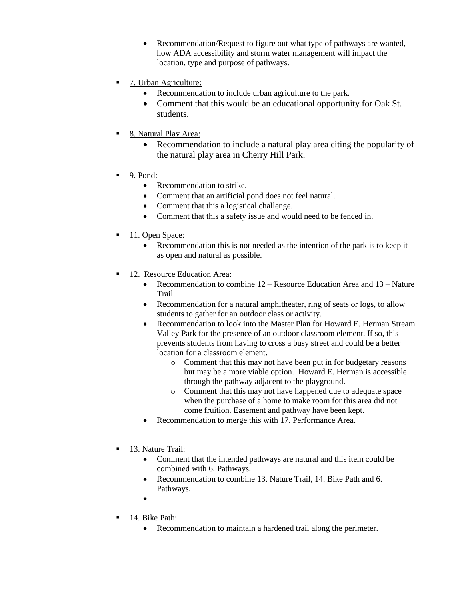- Recommendation/Request to figure out what type of pathways are wanted, how ADA accessibility and storm water management will impact the location, type and purpose of pathways.
- 7. Urban Agriculture:
	- Recommendation to include urban agriculture to the park.
	- Comment that this would be an educational opportunity for Oak St. students.
- 8. Natural Play Area:
	- Recommendation to include a natural play area citing the popularity of the natural play area in Cherry Hill Park.
- 9. Pond:
	- Recommendation to strike.
	- Comment that an artificial pond does not feel natural.
	- Comment that this a logistical challenge.
	- Comment that this a safety issue and would need to be fenced in.
- 11. Open Space:
	- Recommendation this is not needed as the intention of the park is to keep it as open and natural as possible.
- <sup>12</sup>. Resource Education Area:
	- Recommendation to combine  $12 -$ Resource Education Area and  $13 -$ Nature Trail.
	- Recommendation for a natural amphitheater, ring of seats or logs, to allow students to gather for an outdoor class or activity.
	- Recommendation to look into the Master Plan for Howard E. Herman Stream Valley Park for the presence of an outdoor classroom element. If so, this prevents students from having to cross a busy street and could be a better location for a classroom element.
		- o Comment that this may not have been put in for budgetary reasons but may be a more viable option. Howard E. Herman is accessible through the pathway adjacent to the playground.
		- o Comment that this may not have happened due to adequate space when the purchase of a home to make room for this area did not come fruition. Easement and pathway have been kept.
	- Recommendation to merge this with 17. Performance Area.
- 13. Nature Trail:
	- Comment that the intended pathways are natural and this item could be combined with 6. Pathways.
	- Recommendation to combine 13. Nature Trail, 14. Bike Path and 6. Pathways.
	- $\bullet$
- $\blacksquare$  14. Bike Path:
	- Recommendation to maintain a hardened trail along the perimeter.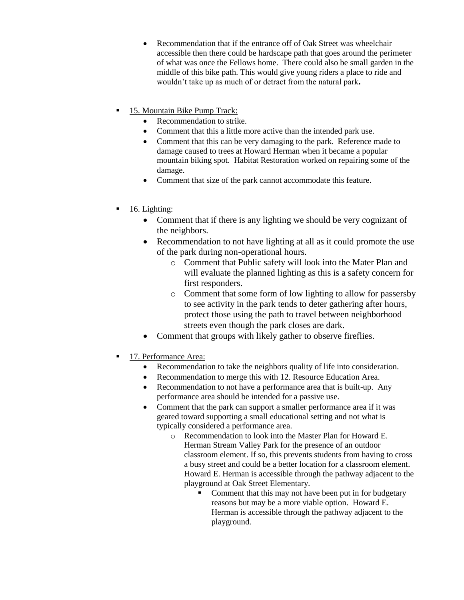- Recommendation that if the entrance off of Oak Street was wheelchair accessible then there could be hardscape path that goes around the perimeter of what was once the Fellows home.There could also be small garden in the middle of this bike path. This would give young riders a place to ride and wouldn't take up as much of or detract from the natural park**.**
- **15. Mountain Bike Pump Track:** 
	- Recommendation to strike.
	- Comment that this a little more active than the intended park use.
	- Comment that this can be very damaging to the park. Reference made to damage caused to trees at Howard Herman when it became a popular mountain biking spot. Habitat Restoration worked on repairing some of the damage.
	- Comment that size of the park cannot accommodate this feature.
- $\blacksquare$  16. Lighting:
	- Comment that if there is any lighting we should be very cognizant of the neighbors.
	- Recommendation to not have lighting at all as it could promote the use of the park during non-operational hours.
		- o Comment that Public safety will look into the Mater Plan and will evaluate the planned lighting as this is a safety concern for first responders.
		- o Comment that some form of low lighting to allow for passersby to see activity in the park tends to deter gathering after hours, protect those using the path to travel between neighborhood streets even though the park closes are dark.
	- Comment that groups with likely gather to observe fireflies.
- 17. Performance Area:
	- Recommendation to take the neighbors quality of life into consideration.
	- Recommendation to merge this with 12. Resource Education Area.
	- Recommendation to not have a performance area that is built-up. Any performance area should be intended for a passive use.
	- Comment that the park can support a smaller performance area if it was geared toward supporting a small educational setting and not what is typically considered a performance area.
		- o Recommendation to look into the Master Plan for Howard E. Herman Stream Valley Park for the presence of an outdoor classroom element. If so, this prevents students from having to cross a busy street and could be a better location for a classroom element. Howard E. Herman is accessible through the pathway adjacent to the playground at Oak Street Elementary.
			- Comment that this may not have been put in for budgetary reasons but may be a more viable option. Howard E. Herman is accessible through the pathway adjacent to the playground.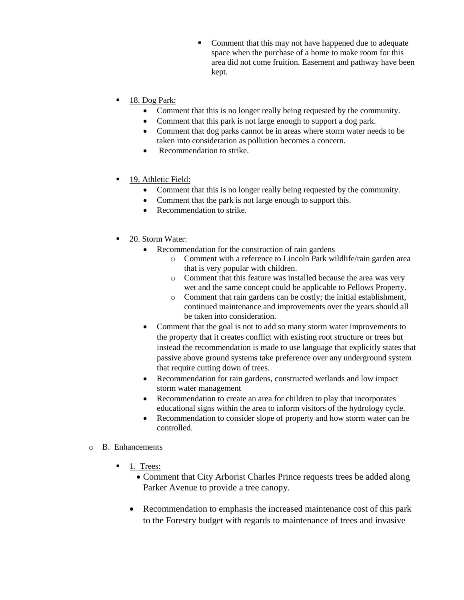- Comment that this may not have happened due to adequate space when the purchase of a home to make room for this area did not come fruition. Easement and pathway have been kept.
- 18. Dog Park:
	- Comment that this is no longer really being requested by the community.
	- Comment that this park is not large enough to support a dog park.
	- Comment that dog parks cannot be in areas where storm water needs to be taken into consideration as pollution becomes a concern.
	- Recommendation to strike.
- 19. Athletic Field:
	- Comment that this is no longer really being requested by the community.
	- Comment that the park is not large enough to support this.
	- Recommendation to strike.
- 20. Storm Water:
	- Recommendation for the construction of rain gardens
		- o Comment with a reference to Lincoln Park wildlife/rain garden area that is very popular with children.
		- o Comment that this feature was installed because the area was very wet and the same concept could be applicable to Fellows Property.
		- o Comment that rain gardens can be costly; the initial establishment, continued maintenance and improvements over the years should all be taken into consideration.
	- Comment that the goal is not to add so many storm water improvements to the property that it creates conflict with existing root structure or trees but instead the recommendation is made to use language that explicitly states that passive above ground systems take preference over any underground system that require cutting down of trees.
	- Recommendation for rain gardens, constructed wetlands and low impact storm water management
	- Recommendation to create an area for children to play that incorporates educational signs within the area to inform visitors of the hydrology cycle.
	- Recommendation to consider slope of property and how storm water can be controlled.
- o B. Enhancements
	- 1. Trees:
		- Comment that City Arborist Charles Prince requests trees be added along Parker Avenue to provide a tree canopy.
		- Recommendation to emphasis the increased maintenance cost of this park to the Forestry budget with regards to maintenance of trees and invasive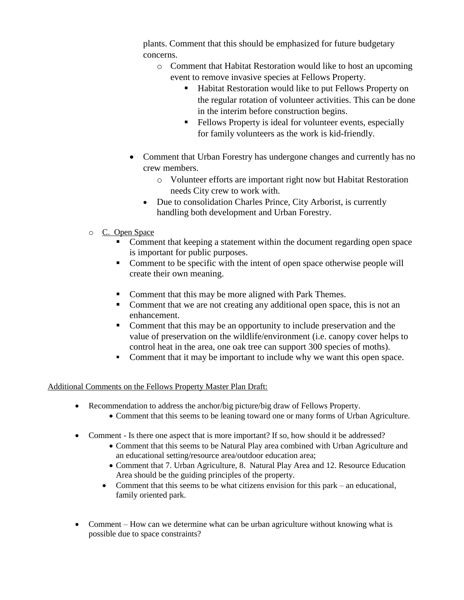plants. Comment that this should be emphasized for future budgetary concerns.

- o Comment that Habitat Restoration would like to host an upcoming event to remove invasive species at Fellows Property.
	- Habitat Restoration would like to put Fellows Property on the regular rotation of volunteer activities. This can be done in the interim before construction begins.
	- Fellows Property is ideal for volunteer events, especially for family volunteers as the work is kid-friendly.
- Comment that Urban Forestry has undergone changes and currently has no crew members.
	- o Volunteer efforts are important right now but Habitat Restoration needs City crew to work with.
	- Due to consolidation Charles Prince, City Arborist, is currently handling both development and Urban Forestry.
- o C. Open Space
	- Comment that keeping a statement within the document regarding open space is important for public purposes.
	- Comment to be specific with the intent of open space otherwise people will create their own meaning.
	- Comment that this may be more aligned with Park Themes.
	- Comment that we are not creating any additional open space, this is not an enhancement.
	- Comment that this may be an opportunity to include preservation and the value of preservation on the wildlife/environment (i.e. canopy cover helps to control heat in the area, one oak tree can support 300 species of moths).
	- Comment that it may be important to include why we want this open space.

# Additional Comments on the Fellows Property Master Plan Draft:

- Recommendation to address the anchor/big picture/big draw of Fellows Property.
	- Comment that this seems to be leaning toward one or many forms of Urban Agriculture.
- Comment Is there one aspect that is more important? If so, how should it be addressed?
	- Comment that this seems to be Natural Play area combined with Urban Agriculture and an educational setting/resource area/outdoor education area;
	- Comment that 7. Urban Agriculture, 8. Natural Play Area and 12. Resource Education Area should be the guiding principles of the property.
	- Comment that this seems to be what citizens envision for this park an educational, family oriented park.
- Comment How can we determine what can be urban agriculture without knowing what is possible due to space constraints?